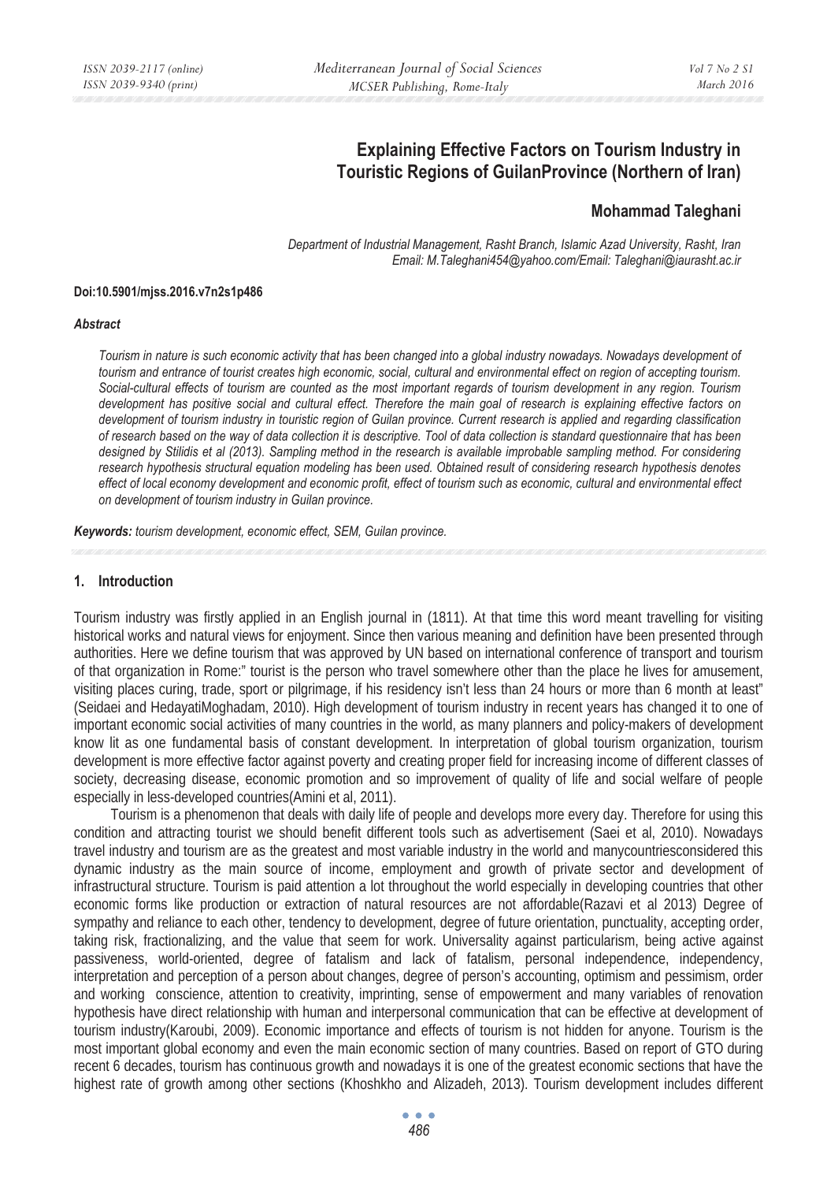# **Explaining Effective Factors on Tourism Industry in Touristic Regions of GuilanProvince (Northern of Iran)**

# **Mohammad Taleghani**

*Department of Industrial Management, Rasht Branch, Islamic Azad University, Rasht, Iran Email: M.Taleghani454@yahoo.com/Email: Taleghani@iaurasht.ac.ir* 

#### **Doi:10.5901/mjss.2016.v7n2s1p486**

#### *Abstract*

*Tourism in nature is such economic activity that has been changed into a global industry nowadays. Nowadays development of tourism and entrance of tourist creates high economic, social, cultural and environmental effect on region of accepting tourism. Social-cultural effects of tourism are counted as the most important regards of tourism development in any region. Tourism development has positive social and cultural effect. Therefore the main goal of research is explaining effective factors on development of tourism industry in touristic region of Guilan province. Current research is applied and regarding classification of research based on the way of data collection it is descriptive. Tool of data collection is standard questionnaire that has been*  designed by Stilidis et al (2013). Sampling method in the research is available improbable sampling method. For considering research hypothesis structural equation modeling has been used. Obtained result of considering research hypothesis denotes *effect of local economy development and economic profit, effect of tourism such as economic, cultural and environmental effect on development of tourism industry in Guilan province.* 

*Keywords: tourism development, economic effect, SEM, Guilan province.*

#### **1. Introduction**

Tourism industry was firstly applied in an English journal in (1811). At that time this word meant travelling for visiting historical works and natural views for enjoyment. Since then various meaning and definition have been presented through authorities. Here we define tourism that was approved by UN based on international conference of transport and tourism of that organization in Rome:" tourist is the person who travel somewhere other than the place he lives for amusement, visiting places curing, trade, sport or pilgrimage, if his residency isn't less than 24 hours or more than 6 month at least" (Seidaei and HedayatiMoghadam, 2010). High development of tourism industry in recent years has changed it to one of important economic social activities of many countries in the world, as many planners and policy-makers of development know lit as one fundamental basis of constant development. In interpretation of global tourism organization, tourism development is more effective factor against poverty and creating proper field for increasing income of different classes of society, decreasing disease, economic promotion and so improvement of quality of life and social welfare of people especially in less-developed countries(Amini et al, 2011).

Tourism is a phenomenon that deals with daily life of people and develops more every day. Therefore for using this condition and attracting tourist we should benefit different tools such as advertisement (Saei et al, 2010). Nowadays travel industry and tourism are as the greatest and most variable industry in the world and manycountriesconsidered this dynamic industry as the main source of income, employment and growth of private sector and development of infrastructural structure. Tourism is paid attention a lot throughout the world especially in developing countries that other economic forms like production or extraction of natural resources are not affordable(Razavi et al 2013) Degree of sympathy and reliance to each other, tendency to development, degree of future orientation, punctuality, accepting order, taking risk, fractionalizing, and the value that seem for work. Universality against particularism, being active against passiveness, world-oriented, degree of fatalism and lack of fatalism, personal independence, independency, interpretation and perception of a person about changes, degree of person's accounting, optimism and pessimism, order and working conscience, attention to creativity, imprinting, sense of empowerment and many variables of renovation hypothesis have direct relationship with human and interpersonal communication that can be effective at development of tourism industry(Karoubi, 2009). Economic importance and effects of tourism is not hidden for anyone. Tourism is the most important global economy and even the main economic section of many countries. Based on report of GTO during recent 6 decades, tourism has continuous growth and nowadays it is one of the greatest economic sections that have the highest rate of growth among other sections (Khoshkho and Alizadeh, 2013). Tourism development includes different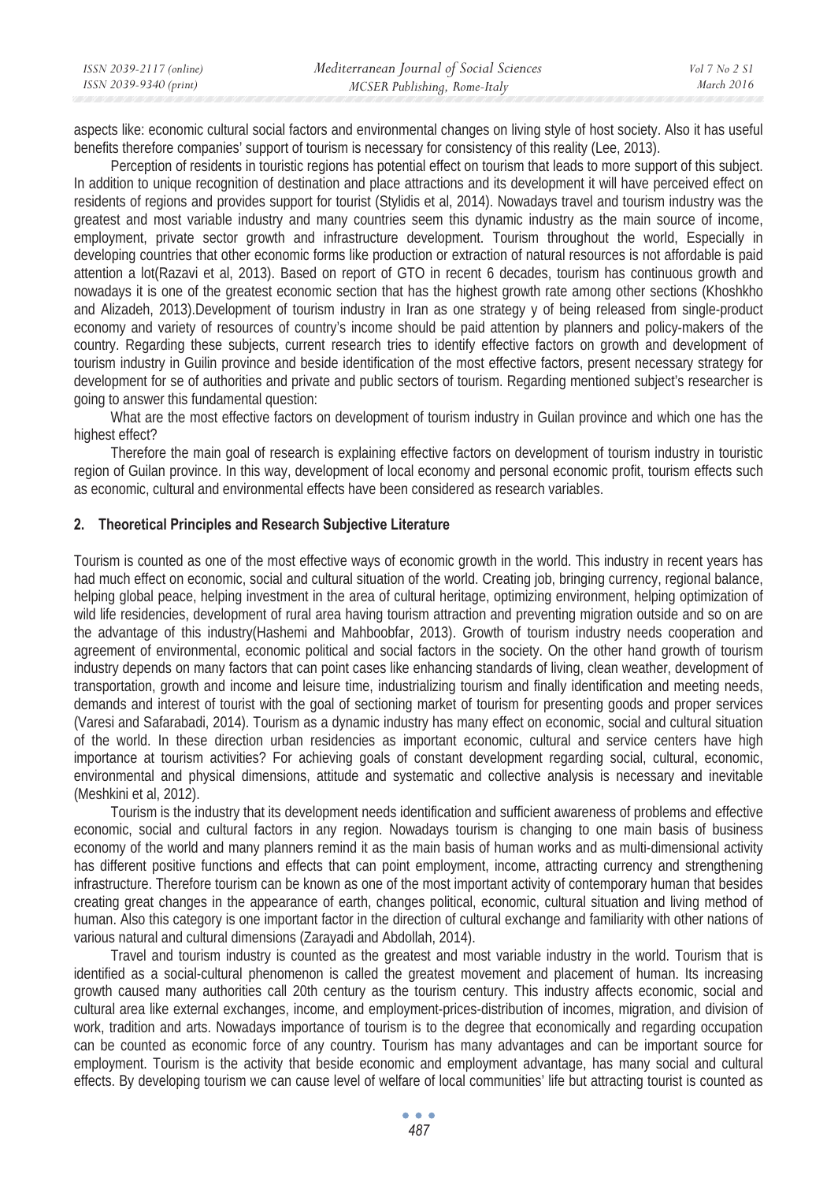| ISSN 2039-2117 (online) | Mediterranean Journal of Social Sciences | Vol 7 No 2 SI     |
|-------------------------|------------------------------------------|-------------------|
| ISSN 2039-9340 (print)  | MCSER Publishing, Rome-Italy             | <i>March 2016</i> |

aspects like: economic cultural social factors and environmental changes on living style of host society. Also it has useful benefits therefore companies' support of tourism is necessary for consistency of this reality (Lee, 2013).

Perception of residents in touristic regions has potential effect on tourism that leads to more support of this subject. In addition to unique recognition of destination and place attractions and its development it will have perceived effect on residents of regions and provides support for tourist (Stylidis et al, 2014). Nowadays travel and tourism industry was the greatest and most variable industry and many countries seem this dynamic industry as the main source of income, employment, private sector growth and infrastructure development. Tourism throughout the world, Especially in developing countries that other economic forms like production or extraction of natural resources is not affordable is paid attention a lot(Razavi et al, 2013). Based on report of GTO in recent 6 decades, tourism has continuous growth and nowadays it is one of the greatest economic section that has the highest growth rate among other sections (Khoshkho and Alizadeh, 2013).Development of tourism industry in Iran as one strategy y of being released from single-product economy and variety of resources of country's income should be paid attention by planners and policy-makers of the country. Regarding these subjects, current research tries to identify effective factors on growth and development of tourism industry in Guilin province and beside identification of the most effective factors, present necessary strategy for development for se of authorities and private and public sectors of tourism. Regarding mentioned subject's researcher is going to answer this fundamental question:

What are the most effective factors on development of tourism industry in Guilan province and which one has the highest effect?

Therefore the main goal of research is explaining effective factors on development of tourism industry in touristic region of Guilan province. In this way, development of local economy and personal economic profit, tourism effects such as economic, cultural and environmental effects have been considered as research variables.

#### **2. Theoretical Principles and Research Subjective Literature**

Tourism is counted as one of the most effective ways of economic growth in the world. This industry in recent years has had much effect on economic, social and cultural situation of the world. Creating job, bringing currency, regional balance, helping global peace, helping investment in the area of cultural heritage, optimizing environment, helping optimization of wild life residencies, development of rural area having tourism attraction and preventing migration outside and so on are the advantage of this industry(Hashemi and Mahboobfar, 2013). Growth of tourism industry needs cooperation and agreement of environmental, economic political and social factors in the society. On the other hand growth of tourism industry depends on many factors that can point cases like enhancing standards of living, clean weather, development of transportation, growth and income and leisure time, industrializing tourism and finally identification and meeting needs, demands and interest of tourist with the goal of sectioning market of tourism for presenting goods and proper services (Varesi and Safarabadi, 2014). Tourism as a dynamic industry has many effect on economic, social and cultural situation of the world. In these direction urban residencies as important economic, cultural and service centers have high importance at tourism activities? For achieving goals of constant development regarding social, cultural, economic, environmental and physical dimensions, attitude and systematic and collective analysis is necessary and inevitable (Meshkini et al, 2012).

Tourism is the industry that its development needs identification and sufficient awareness of problems and effective economic, social and cultural factors in any region. Nowadays tourism is changing to one main basis of business economy of the world and many planners remind it as the main basis of human works and as multi-dimensional activity has different positive functions and effects that can point employment, income, attracting currency and strengthening infrastructure. Therefore tourism can be known as one of the most important activity of contemporary human that besides creating great changes in the appearance of earth, changes political, economic, cultural situation and living method of human. Also this category is one important factor in the direction of cultural exchange and familiarity with other nations of various natural and cultural dimensions (Zarayadi and Abdollah, 2014).

Travel and tourism industry is counted as the greatest and most variable industry in the world. Tourism that is identified as a social-cultural phenomenon is called the greatest movement and placement of human. Its increasing growth caused many authorities call 20th century as the tourism century. This industry affects economic, social and cultural area like external exchanges, income, and employment-prices-distribution of incomes, migration, and division of work, tradition and arts. Nowadays importance of tourism is to the degree that economically and regarding occupation can be counted as economic force of any country. Tourism has many advantages and can be important source for employment. Tourism is the activity that beside economic and employment advantage, has many social and cultural effects. By developing tourism we can cause level of welfare of local communities' life but attracting tourist is counted as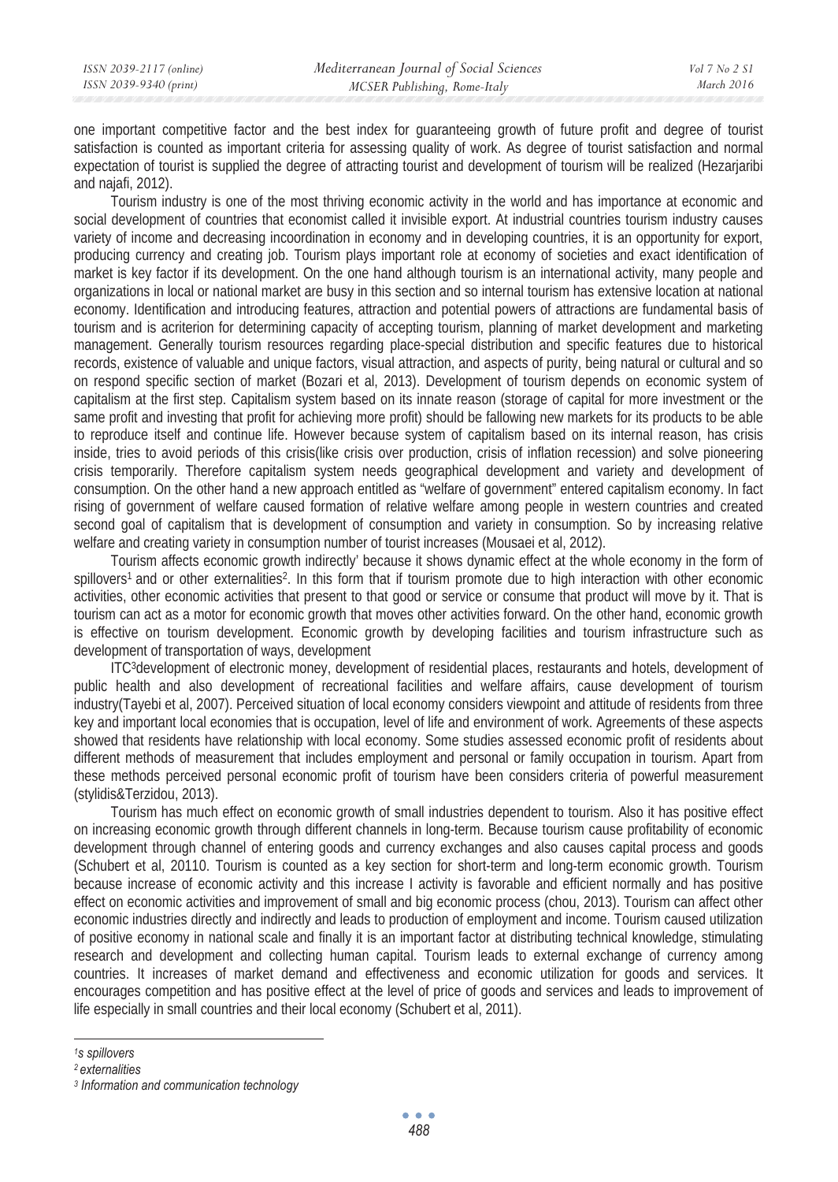one important competitive factor and the best index for guaranteeing growth of future profit and degree of tourist satisfaction is counted as important criteria for assessing quality of work. As degree of tourist satisfaction and normal expectation of tourist is supplied the degree of attracting tourist and development of tourism will be realized (Hezarjaribi and najafi, 2012).

Tourism industry is one of the most thriving economic activity in the world and has importance at economic and social development of countries that economist called it invisible export. At industrial countries tourism industry causes variety of income and decreasing incoordination in economy and in developing countries, it is an opportunity for export, producing currency and creating job. Tourism plays important role at economy of societies and exact identification of market is key factor if its development. On the one hand although tourism is an international activity, many people and organizations in local or national market are busy in this section and so internal tourism has extensive location at national economy. Identification and introducing features, attraction and potential powers of attractions are fundamental basis of tourism and is acriterion for determining capacity of accepting tourism, planning of market development and marketing management. Generally tourism resources regarding place-special distribution and specific features due to historical records, existence of valuable and unique factors, visual attraction, and aspects of purity, being natural or cultural and so on respond specific section of market (Bozari et al, 2013). Development of tourism depends on economic system of capitalism at the first step. Capitalism system based on its innate reason (storage of capital for more investment or the same profit and investing that profit for achieving more profit) should be fallowing new markets for its products to be able to reproduce itself and continue life. However because system of capitalism based on its internal reason, has crisis inside, tries to avoid periods of this crisis(like crisis over production, crisis of inflation recession) and solve pioneering crisis temporarily. Therefore capitalism system needs geographical development and variety and development of consumption. On the other hand a new approach entitled as "welfare of government" entered capitalism economy. In fact rising of government of welfare caused formation of relative welfare among people in western countries and created second goal of capitalism that is development of consumption and variety in consumption. So by increasing relative welfare and creating variety in consumption number of tourist increases (Mousaei et al, 2012).

Tourism affects economic growth indirectly' because it shows dynamic effect at the whole economy in the form of spillovers<sup>1</sup> and or other externalities<sup>2</sup>. In this form that if tourism promote due to high interaction with other economic activities, other economic activities that present to that good or service or consume that product will move by it. That is tourism can act as a motor for economic growth that moves other activities forward. On the other hand, economic growth is effective on tourism development. Economic growth by developing facilities and tourism infrastructure such as development of transportation of ways, development

ITC3development of electronic money, development of residential places, restaurants and hotels, development of public health and also development of recreational facilities and welfare affairs, cause development of tourism industry(Tayebi et al, 2007). Perceived situation of local economy considers viewpoint and attitude of residents from three key and important local economies that is occupation, level of life and environment of work. Agreements of these aspects showed that residents have relationship with local economy. Some studies assessed economic profit of residents about different methods of measurement that includes employment and personal or family occupation in tourism. Apart from these methods perceived personal economic profit of tourism have been considers criteria of powerful measurement (stylidis&Terzidou, 2013).

Tourism has much effect on economic growth of small industries dependent to tourism. Also it has positive effect on increasing economic growth through different channels in long-term. Because tourism cause profitability of economic development through channel of entering goods and currency exchanges and also causes capital process and goods (Schubert et al, 20110. Tourism is counted as a key section for short-term and long-term economic growth. Tourism because increase of economic activity and this increase I activity is favorable and efficient normally and has positive effect on economic activities and improvement of small and big economic process (chou, 2013). Tourism can affect other economic industries directly and indirectly and leads to production of employment and income. Tourism caused utilization of positive economy in national scale and finally it is an important factor at distributing technical knowledge, stimulating research and development and collecting human capital. Tourism leads to external exchange of currency among countries. It increases of market demand and effectiveness and economic utilization for goods and services. It encourages competition and has positive effect at the level of price of goods and services and leads to improvement of life especially in small countries and their local economy (Schubert et al, 2011).

*<sup>1</sup>s spillovers* 

*<sup>2</sup> externalities* 

*<sup>3</sup> Information and communication technology*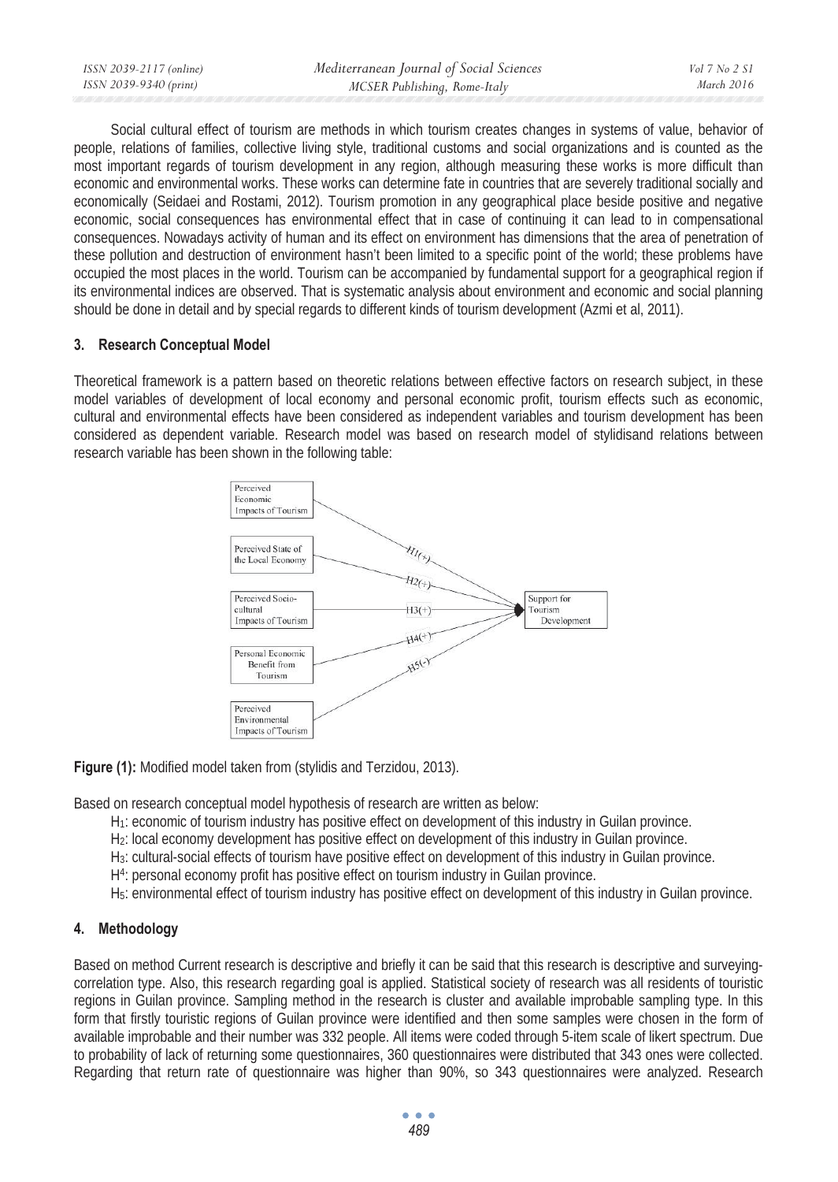| ISSN 2039-2117 (online) | Mediterranean Journal of Social Sciences | Vol 7 No 2 SI |
|-------------------------|------------------------------------------|---------------|
| ISSN 2039-9340 (print)  | MCSER Publishing, Rome-Italy             | March 2016    |

Social cultural effect of tourism are methods in which tourism creates changes in systems of value, behavior of people, relations of families, collective living style, traditional customs and social organizations and is counted as the most important regards of tourism development in any region, although measuring these works is more difficult than economic and environmental works. These works can determine fate in countries that are severely traditional socially and economically (Seidaei and Rostami, 2012). Tourism promotion in any geographical place beside positive and negative economic, social consequences has environmental effect that in case of continuing it can lead to in compensational consequences. Nowadays activity of human and its effect on environment has dimensions that the area of penetration of these pollution and destruction of environment hasn't been limited to a specific point of the world; these problems have occupied the most places in the world. Tourism can be accompanied by fundamental support for a geographical region if its environmental indices are observed. That is systematic analysis about environment and economic and social planning should be done in detail and by special regards to different kinds of tourism development (Azmi et al, 2011).

#### **3. Research Conceptual Model**

Theoretical framework is a pattern based on theoretic relations between effective factors on research subject, in these model variables of development of local economy and personal economic profit, tourism effects such as economic, cultural and environmental effects have been considered as independent variables and tourism development has been considered as dependent variable. Research model was based on research model of stylidisand relations between research variable has been shown in the following table:



**Figure (1):** Modified model taken from (stylidis and Terzidou, 2013).

Based on research conceptual model hypothesis of research are written as below:

- H1: economic of tourism industry has positive effect on development of this industry in Guilan province.
- H2: local economy development has positive effect on development of this industry in Guilan province.
- H3: cultural-social effects of tourism have positive effect on development of this industry in Guilan province.
- H<sup>4</sup>: personal economy profit has positive effect on tourism industry in Guilan province.
- H5: environmental effect of tourism industry has positive effect on development of this industry in Guilan province.

# **4. Methodology**

Based on method Current research is descriptive and briefly it can be said that this research is descriptive and surveyingcorrelation type. Also, this research regarding goal is applied. Statistical society of research was all residents of touristic regions in Guilan province. Sampling method in the research is cluster and available improbable sampling type. In this form that firstly touristic regions of Guilan province were identified and then some samples were chosen in the form of available improbable and their number was 332 people. All items were coded through 5-item scale of likert spectrum. Due to probability of lack of returning some questionnaires, 360 questionnaires were distributed that 343 ones were collected. Regarding that return rate of questionnaire was higher than 90%, so 343 questionnaires were analyzed. Research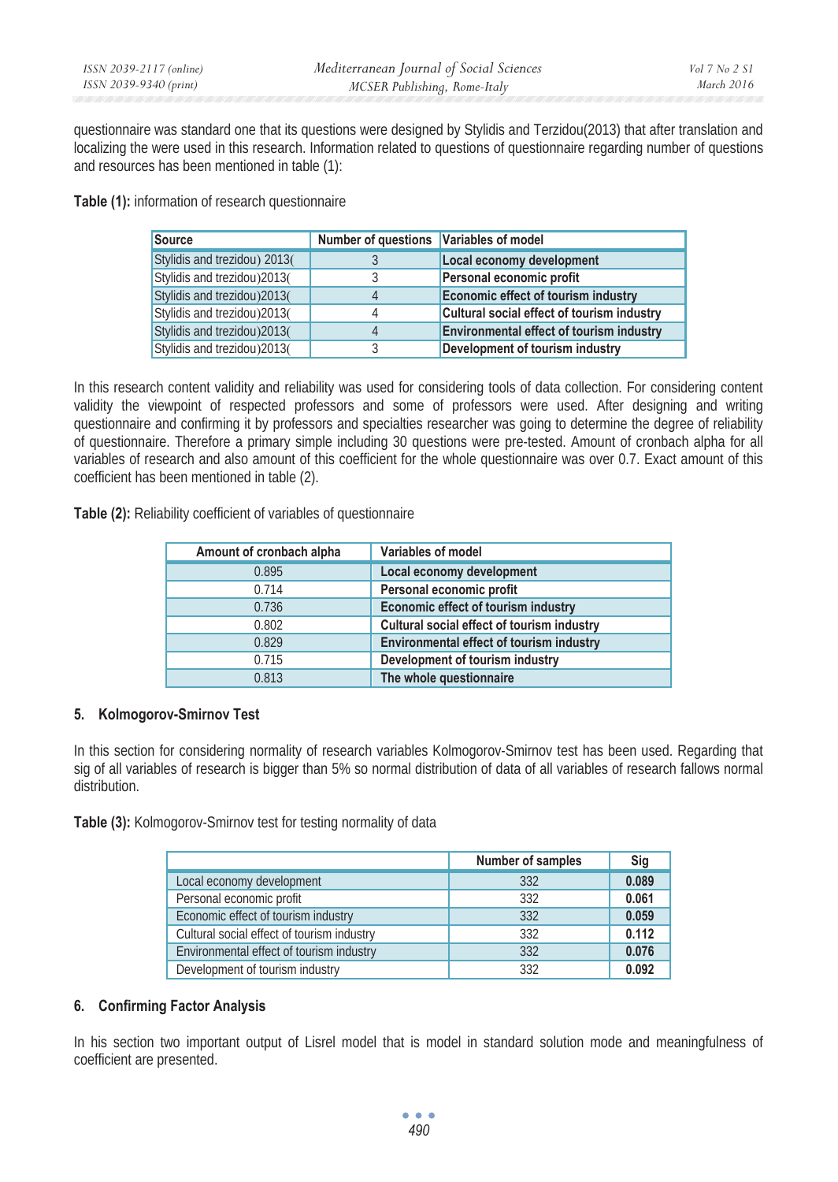questionnaire was standard one that its questions were designed by Stylidis and Terzidou(2013) that after translation and localizing the were used in this research. Information related to questions of questionnaire regarding number of questions and resources has been mentioned in table (1):

**Table (1):** information of research questionnaire

| <b>Source</b>                | Number of questions Variables of model |                                                 |
|------------------------------|----------------------------------------|-------------------------------------------------|
| Stylidis and trezidou) 2013( |                                        | Local economy development                       |
| Stylidis and trezidou) 2013( |                                        | Personal economic profit                        |
| Stylidis and trezidou) 2013( |                                        | Economic effect of tourism industry             |
| Stylidis and trezidou) 2013( |                                        | Cultural social effect of tourism industry      |
| Stylidis and trezidou) 2013( |                                        | <b>Environmental effect of tourism industry</b> |
| Stylidis and trezidou) 2013( |                                        | Development of tourism industry                 |

In this research content validity and reliability was used for considering tools of data collection. For considering content validity the viewpoint of respected professors and some of professors were used. After designing and writing questionnaire and confirming it by professors and specialties researcher was going to determine the degree of reliability of questionnaire. Therefore a primary simple including 30 questions were pre-tested. Amount of cronbach alpha for all variables of research and also amount of this coefficient for the whole questionnaire was over 0.7. Exact amount of this coefficient has been mentioned in table (2).

**Table (2):** Reliability coefficient of variables of questionnaire

| Amount of cronbach alpha | Variables of model                         |
|--------------------------|--------------------------------------------|
| 0.895                    | Local economy development                  |
| 0.714                    | Personal economic profit                   |
| 0.736                    | Economic effect of tourism industry        |
| 0.802                    | Cultural social effect of tourism industry |
| 0.829                    | Environmental effect of tourism industry   |
| 0.715                    | Development of tourism industry            |
| 0.813                    | The whole questionnaire                    |

# **5. Kolmogorov-Smirnov Test**

In this section for considering normality of research variables Kolmogorov-Smirnov test has been used. Regarding that sig of all variables of research is bigger than 5% so normal distribution of data of all variables of research fallows normal distribution.

**Table (3):** Kolmogorov-Smirnov test for testing normality of data

|                                            | <b>Number of samples</b> | Sig   |
|--------------------------------------------|--------------------------|-------|
| Local economy development                  | 332                      | 0.089 |
| Personal economic profit                   | 332                      | 0.061 |
| Economic effect of tourism industry        | 332                      | 0.059 |
| Cultural social effect of tourism industry | 332                      | 0.112 |
| Environmental effect of tourism industry   | 332                      | 0.076 |
| Development of tourism industry            | 332                      | 0.092 |

# **6. Confirming Factor Analysis**

In his section two important output of Lisrel model that is model in standard solution mode and meaningfulness of coefficient are presented.

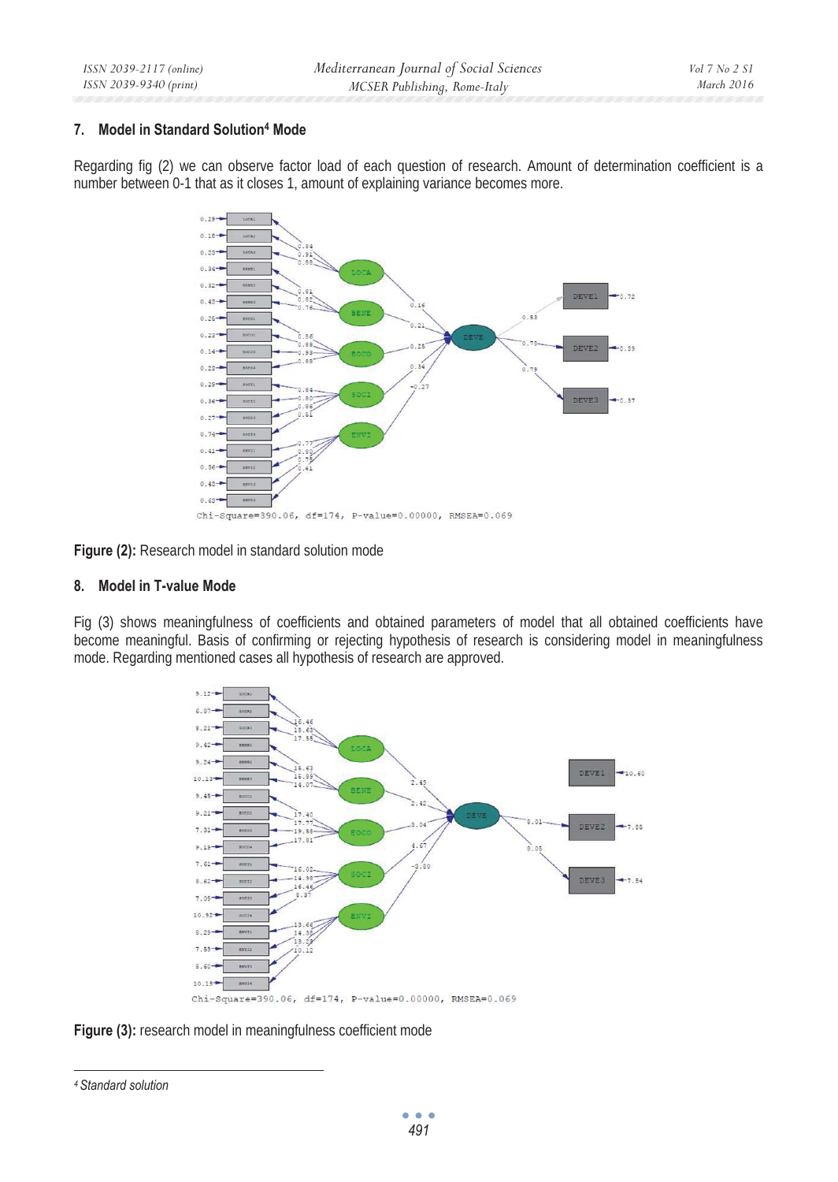# **Model in Standard Solution4 7. Mode**

Regarding fig (2) we can observe factor load of each question of research. Amount of determination coefficient is a number between 0-1 that as it closes 1, amount of explaining variance becomes more.



Figure (2): Research model in standard solution mode

# **8. Model in T-value Mode**

Fig (3) shows meaningfulness of coefficients and obtained parameters of model that all obtained coefficients have become meaningful. Basis of confirming or rejecting hypothesis of research is considering model in meaningfulness mode. Regarding mentioned cases all hypothesis of research are approved.



**Figure (3):** research model in meaningfulness coefficient mode

*<sup>4</sup> Standard solution*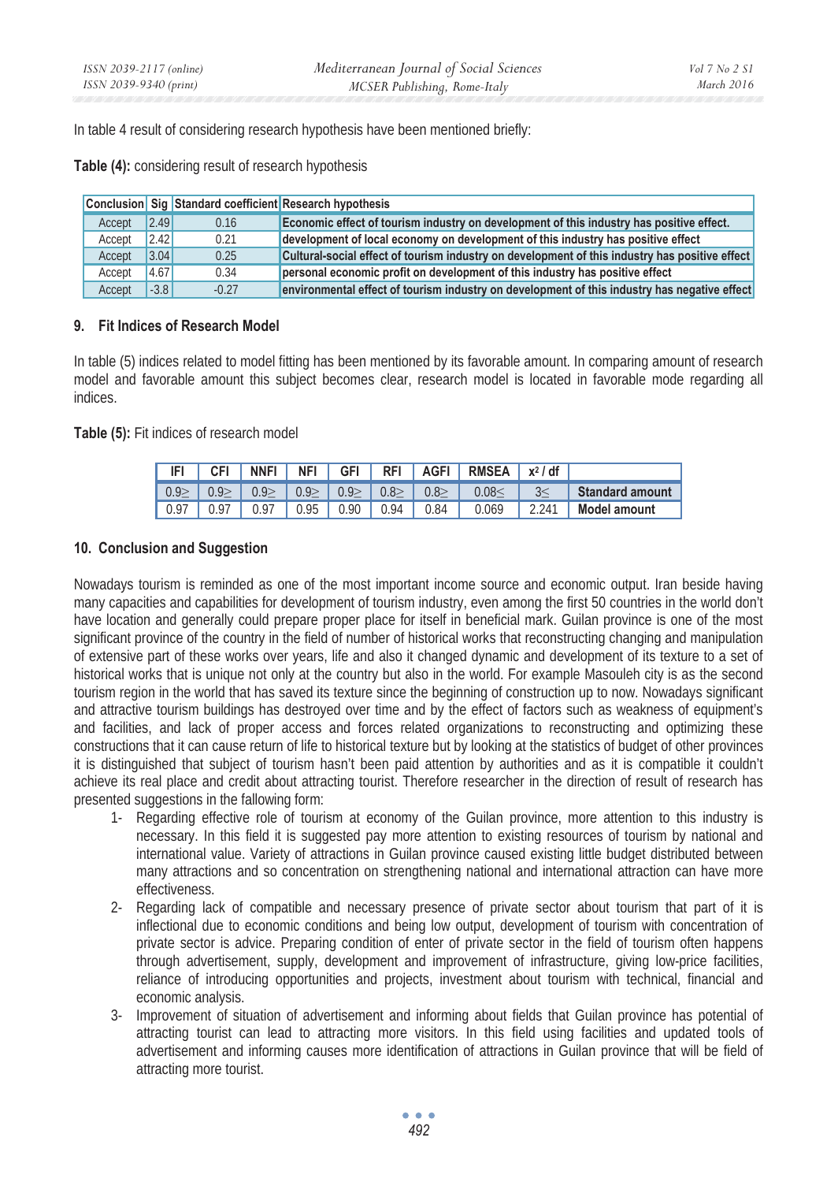In table 4 result of considering research hypothesis have been mentioned briefly:

**Table (4):** considering result of research hypothesis

|        |        |         | Conclusion Sig Standard coefficient Research hypothesis                                        |
|--------|--------|---------|------------------------------------------------------------------------------------------------|
| Accept | 2.49   | 0.16    | Economic effect of tourism industry on development of this industry has positive effect.       |
| Accept | 2.42   | 0.21    | development of local economy on development of this industry has positive effect               |
| Accept | 3.04   | 0.25    | Cultural-social effect of tourism industry on development of this industry has positive effect |
| Accept | 4.67   | 0.34    | personal economic profit on development of this industry has positive effect                   |
| Accept | $-3.8$ | $-0.27$ | environmental effect of tourism industry on development of this industry has negative effect   |

#### **9. Fit Indices of Research Model**

In table (5) indices related to model fitting has been mentioned by its favorable amount. In comparing amount of research model and favorable amount this subject becomes clear, research model is located in favorable mode regarding all indices.

**Table (5):** Fit indices of research model

| ΙFΙ | CFI | <b>NNFI</b> | NFI I | GFI I              |      |      | $RFI$ $AGFI$ $RMSEA$ $x^2/df$ |       |                        |
|-----|-----|-------------|-------|--------------------|------|------|-------------------------------|-------|------------------------|
| 0.9 | 0.9 | 0.9         | 0.9   | $\frac{1}{2}$ 0.9> | 0.8  | 0.8  | 0.08<                         | 3<    | <b>Standard amount</b> |
|     |     | 0.97        | 0.95  | 0.90               | 0.94 | 0.84 | 0.069                         | 2.241 | Model amount           |

# **10. Conclusion and Suggestion**

Nowadays tourism is reminded as one of the most important income source and economic output. Iran beside having many capacities and capabilities for development of tourism industry, even among the first 50 countries in the world don't have location and generally could prepare proper place for itself in beneficial mark. Guilan province is one of the most significant province of the country in the field of number of historical works that reconstructing changing and manipulation of extensive part of these works over years, life and also it changed dynamic and development of its texture to a set of historical works that is unique not only at the country but also in the world. For example Masouleh city is as the second tourism region in the world that has saved its texture since the beginning of construction up to now. Nowadays significant and attractive tourism buildings has destroyed over time and by the effect of factors such as weakness of equipment's and facilities, and lack of proper access and forces related organizations to reconstructing and optimizing these constructions that it can cause return of life to historical texture but by looking at the statistics of budget of other provinces it is distinguished that subject of tourism hasn't been paid attention by authorities and as it is compatible it couldn't achieve its real place and credit about attracting tourist. Therefore researcher in the direction of result of research has presented suggestions in the fallowing form:

- 1- Regarding effective role of tourism at economy of the Guilan province, more attention to this industry is necessary. In this field it is suggested pay more attention to existing resources of tourism by national and international value. Variety of attractions in Guilan province caused existing little budget distributed between many attractions and so concentration on strengthening national and international attraction can have more effectiveness.
- 2- Regarding lack of compatible and necessary presence of private sector about tourism that part of it is inflectional due to economic conditions and being low output, development of tourism with concentration of private sector is advice. Preparing condition of enter of private sector in the field of tourism often happens through advertisement, supply, development and improvement of infrastructure, giving low-price facilities, reliance of introducing opportunities and projects, investment about tourism with technical, financial and economic analysis.
- 3- Improvement of situation of advertisement and informing about fields that Guilan province has potential of attracting tourist can lead to attracting more visitors. In this field using facilities and updated tools of advertisement and informing causes more identification of attractions in Guilan province that will be field of attracting more tourist.